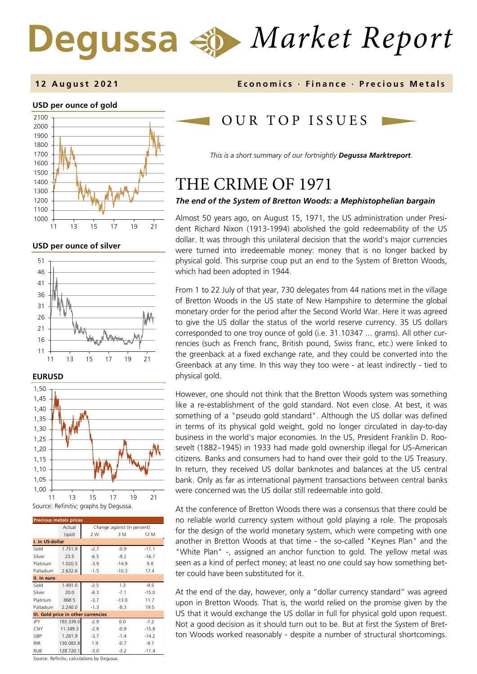# *Market Report*

## **12 August 202 1 Economics · Finance · Precious M etals**

## **USD per ounce of gold**



**USD per ounce of silver** 





| <b>Precious metals prices</b>       |                                        |        |         |         |  |
|-------------------------------------|----------------------------------------|--------|---------|---------|--|
|                                     | Change against (in percent):<br>Actual |        |         |         |  |
|                                     | (spot)                                 | 2 W    | 3 M     | 12 M    |  |
| I. In US-dollar                     |                                        |        |         |         |  |
| Gold                                | 1.751.9                                | $-2.7$ | $-0.9$  | $-11.1$ |  |
| Silver                              | 23.5                                   | $-6.5$ | $-9.2$  | $-16.7$ |  |
| Platinum                            | 1.020.5                                | $-3.9$ | $-14.9$ | 9.8     |  |
| Palladium                           | 2.632.6                                | $-1.5$ | $-10.3$ | 17.4    |  |
| II. In euro                         |                                        |        |         |         |  |
| Gold                                | 1.491.0                                | $-2.5$ | 1.3     | $-9.5$  |  |
| Silver                              | 20.0                                   | $-6.3$ | $-7.1$  | $-15.0$ |  |
| Platinum                            | 868.5                                  | $-3.7$ | $-13.0$ | 11.7    |  |
| Palladium                           | 2.240.0                                | $-1.3$ | $-8.3$  | 19.5    |  |
| III. Gold price in other currencies |                                        |        |         |         |  |
| JPY                                 | 193.339.0                              | $-2.9$ | 0.0     | $-7.2$  |  |
| CNY                                 | 11.349.3                               | $-2.8$ | $-0.9$  | $-15.8$ |  |
| GBP                                 | 1.261.9                                | $-3.7$ | $-1.4$  | $-14.2$ |  |
| <b>INR</b>                          | 130.083.8                              | 1.9    | $-0.7$  | $-9.7$  |  |
| <b>RUB</b>                          | 128.720.1                              | $-3.0$ | $-3.2$  | $-11.4$ |  |

Source: Refinitiv; calculations by Degussa.

## OUR TOP ISSUE S

*This is a short summary of our fortnightly Degussa Marktreport.*

## THE CRIME OF 1971

## *The end of the System of Bretton Woods: a Mephistophelian bargain*

Almost 50 years ago, on August 15, 1971, the US administration under President Richard Nixon (1913-1994) abolished the gold redeemability of the US dollar. It was through this unilateral decision that the world's major currencies were turned into irredeemable money: money that is no longer backed by physical gold. This surprise coup put an end to the System of Bretton Woods, which had been adopted in 1944.

From 1 to 22 July of that year, 730 delegates from 44 nations met in the village of Bretton Woods in the US state of New Hampshire to determine the global monetary order for the period after the Second World War. Here it was agreed to give the US dollar the status of the world reserve currency. 35 US dollars corresponded to one troy ounce of gold (i.e. 31.10347 ... grams). All other currencies (such as French franc, British pound, Swiss franc, etc.) were linked to the greenback at a fixed exchange rate, and they could be converted into the Greenback at any time. In this way they too were - at least indirectly - tied to physical gold.

However, one should not think that the Bretton Woods system was something like a re-establishment of the gold standard. Not even close. At best, it was something of a "pseudo gold standard". Although the US dollar was defined in terms of its physical gold weight, gold no longer circulated in day-to-day business in the world's major economies. In the US, President Franklin D. Roosevelt (1882–1945) in 1933 had made gold ownership illegal for US-American citizens. Banks and consumers had to hand over their gold to the US Treasury. In return, they received US dollar banknotes and balances at the US central bank. Only as far as international payment transactions between central banks were concerned was the US dollar still redeemable into gold.

At the conference of Bretton Woods there was a consensus that there could be no reliable world currency system without gold playing a role. The proposals for the design of the world monetary system, which were competing with one another in Bretton Woods at that time - the so-called "Keynes Plan" and the "White Plan" -, assigned an anchor function to gold. The yellow metal was seen as a kind of perfect money; at least no one could say how something better could have been substituted for it.

At the end of the day, however, only a "dollar currency standard" was agreed upon in Bretton Woods. That is, the world relied on the promise given by the US that it would exchange the US dollar in full for physical gold upon request. Not a good decision as it should turn out to be. But at first the System of Bretton Woods worked reasonably - despite a number of structural shortcomings.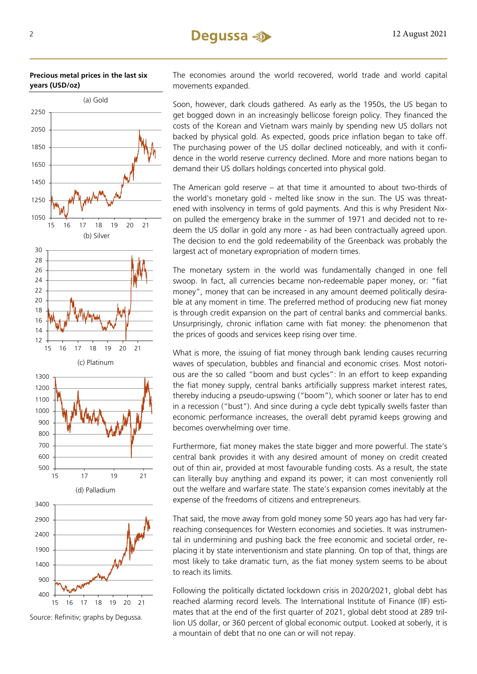



Source: Refinitiv; graphs by Degussa.

The economies around the world recovered, world trade and world capital movements expanded.

Soon, however, dark clouds gathered. As early as the 1950s, the US began to get bogged down in an increasingly bellicose foreign policy. They financed the costs of the Korean and Vietnam wars mainly by spending new US dollars not backed by physical gold. As expected, goods price inflation began to take off. The purchasing power of the US dollar declined noticeably, and with it confidence in the world reserve currency declined. More and more nations began to demand their US dollars holdings concerted into physical gold.

The American gold reserve – at that time it amounted to about two-thirds of the world's monetary gold - melted like snow in the sun. The US was threatened with insolvency in terms of gold payments. And this is why President Nixon pulled the emergency brake in the summer of 1971 and decided not to redeem the US dollar in gold any more - as had been contractually agreed upon. The decision to end the gold redeemability of the Greenback was probably the largest act of monetary expropriation of modern times.

The monetary system in the world was fundamentally changed in one fell swoop. In fact, all currencies became non-redeemable paper money, or: "fiat money", money that can be increased in any amount deemed politically desirable at any moment in time. The preferred method of producing new fiat money is through credit expansion on the part of central banks and commercial banks. Unsurprisingly, chronic inflation came with fiat money: the phenomenon that the prices of goods and services keep rising over time.

What is more, the issuing of fiat money through bank lending causes recurring waves of speculation, bubbles and financial and economic crises. Most notorious are the so called "boom and bust cycles": In an effort to keep expanding the fiat money supply, central banks artificially suppress market interest rates, thereby inducing a pseudo-upswing ("boom"), which sooner or later has to end in a recession ("bust"). And since during a cycle debt typically swells faster than economic performance increases, the overall debt pyramid keeps growing and becomes overwhelming over time.

Furthermore, fiat money makes the state bigger and more powerful. The state's central bank provides it with any desired amount of money on credit created out of thin air, provided at most favourable funding costs. As a result, the state can literally buy anything and expand its power; it can most conveniently roll out the welfare and warfare state. The state's expansion comes inevitably at the expense of the freedoms of citizens and entrepreneurs.

That said, the move away from gold money some 50 years ago has had very farreaching consequences for Western economies and societies. It was instrumental in undermining and pushing back the free economic and societal order, replacing it by state interventionism and state planning. On top of that, things are most likely to take dramatic turn, as the fiat money system seems to be about to reach its limits.

Following the politically dictated lockdown crisis in 2020/2021, global debt has reached alarming record levels. The International Institute of Finance (IIF) estimates that at the end of the first quarter of 2021, global debt stood at 289 trillion US dollar, or 360 percent of global economic output. Looked at soberly, it is a mountain of debt that no one can or will not repay.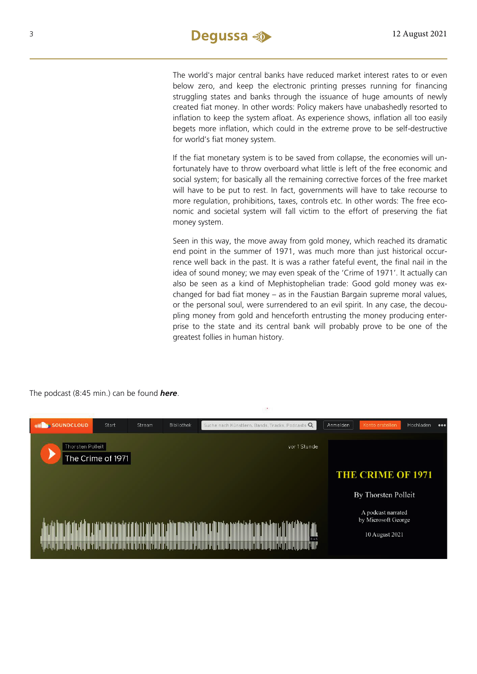The world's major central banks have reduced market interest rates to or even below zero, and keep the electronic printing presses running for financing struggling states and banks through the issuance of huge amounts of newly created fiat money. In other words: Policy makers have unabashedly resorted to inflation to keep the system afloat. As experience shows, inflation all too easily begets more inflation, which could in the extreme prove to be self-destructive for world's fiat money system.

If the fiat monetary system is to be saved from collapse, the economies will unfortunately have to throw overboard what little is left of the free economic and social system; for basically all the remaining corrective forces of the free market will have to be put to rest. In fact, governments will have to take recourse to more regulation, prohibitions, taxes, controls etc. In other words: The free economic and societal system will fall victim to the effort of preserving the fiat money system.

Seen in this way, the move away from gold money, which reached its dramatic end point in the summer of 1971, was much more than just historical occurrence well back in the past. It is was a rather fateful event, the final nail in the idea of sound money; we may even speak of the 'Crime of 1971'. It actually can also be seen as a kind of Mephistophelian trade: Good gold money was exchanged for bad fiat money – as in the Faustian Bargain supreme moral values, or the personal soul, were surrendered to an evil spirit. In any case, the decoupling money from gold and henceforth entrusting the money producing enterprise to the state and its central bank will probably prove to be one of the greatest follies in human history.



The podcast (8:45 min.) can be found *[here](https://soundcloud.com/user-889325874/the-crime-of-1971)*.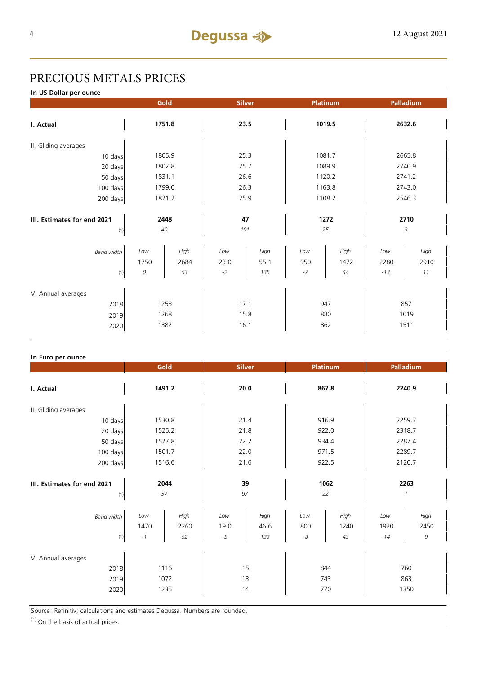## PRECIOUS METALS PRICES

**In US-Dollar per ounce**

|                                     | Gold         |              |              | <b>Silver</b> |            | Platinum     |              | Palladium    |  |
|-------------------------------------|--------------|--------------|--------------|---------------|------------|--------------|--------------|--------------|--|
| I. Actual                           | 1751.8       |              | 23.5         |               | 1019.5     |              | 2632.6       |              |  |
| II. Gliding averages                |              |              |              |               |            |              |              |              |  |
| 10 days                             | 1805.9       |              | 25.3         |               | 1081.7     |              | 2665.8       |              |  |
| 20 days                             |              | 1802.8       |              | 25.7          |            | 1089.9       |              | 2740.9       |  |
| 50 days                             | 1831.1       |              | 26.6         |               | 1120.2     |              | 2741.2       |              |  |
| 100 days                            |              | 1799.0       |              | 26.3          |            | 1163.8       |              | 2743.0       |  |
| 200 days                            | 1821.2       |              | 25.9         |               | 1108.2     |              | 2546.3       |              |  |
| 2448<br>III. Estimates for end 2021 |              | 47           |              | 1272          |            | 2710         |              |              |  |
| (1)                                 | 40           |              | 101          |               | 25         |              | 3            |              |  |
| <b>Band width</b>                   | Low<br>1750  | High<br>2684 | Low<br>23.0  | High<br>55.1  | Low<br>950 | High<br>1472 | Low<br>2280  | High<br>2910 |  |
| (1)                                 | 0            | 53           | $-2$         | 135           | $-7$       | 44           | $-13$        | 11           |  |
| V. Annual averages<br>2018          | 1253         |              | 17.1         |               | 947        |              | 857          |              |  |
| 2019<br>2020                        | 1268<br>1382 |              | 15.8<br>16.1 |               | 880<br>862 |              | 1019<br>1511 |              |  |

## **In Euro per ounce**

|                                            | Gold<br><b>Silver</b>      |                    | Platinum            |                     | Palladium                 |                    |                       |                    |  |
|--------------------------------------------|----------------------------|--------------------|---------------------|---------------------|---------------------------|--------------------|-----------------------|--------------------|--|
| I. Actual                                  | 1491.2                     |                    | 20.0                |                     | 867.8                     |                    | 2240.9                |                    |  |
| II. Gliding averages                       |                            |                    |                     |                     |                           |                    |                       |                    |  |
| 10 days                                    | 1530.8                     |                    | 21.4                |                     | 916.9                     |                    | 2259.7                |                    |  |
| 20 days                                    | 1525.2                     |                    | 21.8                |                     | 922.0                     |                    | 2318.7                |                    |  |
| 50 days                                    | 1527.8                     |                    | 22.2                |                     | 934.4                     |                    | 2287.4                |                    |  |
| 100 days                                   |                            | 1501.7             |                     | 22.0                |                           | 971.5              |                       | 2289.7             |  |
| 200 days                                   | 1516.6                     |                    | 21.6                |                     | 922.5                     |                    | 2120.7                |                    |  |
| III. Estimates for end 2021<br>(1)         | 2044<br>37                 |                    | 39<br>97            |                     | 1062<br>22                |                    | 2263<br>$\mathcal{I}$ |                    |  |
| Band width<br>(1)                          | Low<br>1470<br>$^{\rm -1}$ | High<br>2260<br>52 | Low<br>19.0<br>$-5$ | High<br>46.6<br>133 | Low<br>800<br>$\mbox{-}8$ | High<br>1240<br>43 | Low<br>1920<br>$-14$  | High<br>2450<br>9  |  |
| V. Annual averages<br>2018<br>2019<br>2020 | 1116<br>1072<br>1235       |                    |                     | 15<br>13<br>14      | 743                       | 844<br>770         |                       | 760<br>863<br>1350 |  |

Source: Refinitiv; calculations and estimates Degussa. Numbers are rounded.

 $(1)$  On the basis of actual prices.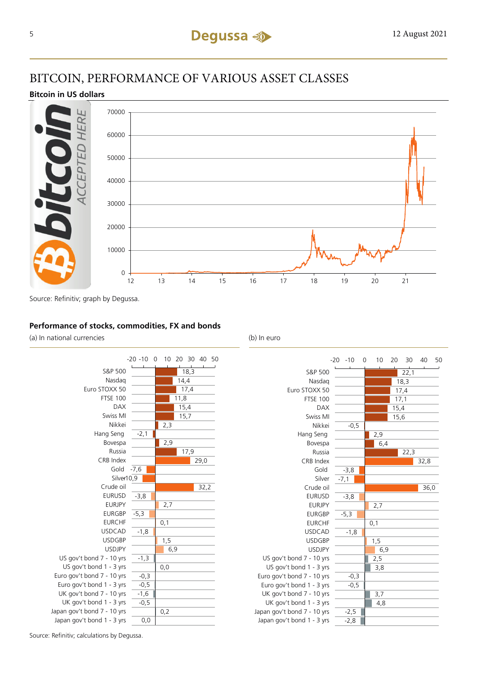## BITCOIN, PERFORMANCE OF VARIOUS ASSET CLASSES

## **Bitcoin in US dollars**



Source: Refinitiv; graph by Degussa.

## **Performance of stocks, commodities, FX and bonds**

(a) In national currencies (b) In euro





Source: Refinitiv; calculations by Degussa.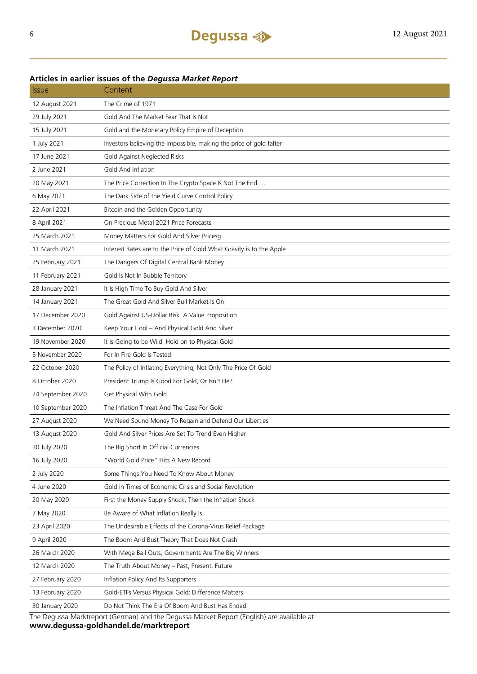## **Articles in earlier issues of the** *Degussa Market Report*

| <i><b>Issue</b></i> | Content                                                              |
|---------------------|----------------------------------------------------------------------|
| 12 August 2021      | The Crime of 1971                                                    |
| 29 July 2021        | Gold And The Market Fear That Is Not                                 |
| 15 July 2021        | Gold and the Monetary Policy Empire of Deception                     |
| 1 July 2021         | Investors believing the impossible, making the price of gold falter  |
| 17 June 2021        | Gold Against Neglected Risks                                         |
| 2 June 2021         | Gold And Inflation                                                   |
| 20 May 2021         | The Price Correction In The Crypto Space Is Not The End              |
| 6 May 2021          | The Dark Side of the Yield Curve Control Policy                      |
| 22 April 2021       | Bitcoin and the Golden Opportunity                                   |
| 8 April 2021        | On Precious Metal 2021 Price Forecasts                               |
| 25 March 2021       | Money Matters For Gold And Silver Pricesg                            |
| 11 March 2021       | Interest Rates are to the Price of Gold What Gravity is to the Apple |
| 25 February 2021    | The Dangers Of Digital Central Bank Money                            |
| 11 February 2021    | Gold Is Not In Bubble Territory                                      |
| 28 January 2021     | It Is High Time To Buy Gold And Silver                               |
| 14 January 2021     | The Great Gold And Silver Bull Market Is On                          |
| 17 December 2020    | Gold Against US-Dollar Risk. A Value Proposition                     |
| 3 December 2020     | Keep Your Cool - And Physical Gold And Silver                        |
| 19 November 2020    | It is Going to be Wild. Hold on to Physical Gold                     |
| 5 November 2020     | For In Fire Gold Is Tested                                           |
| 22 October 2020     | The Policy of Inflating Everything, Not Only The Price Of Gold       |
| 8 October 2020      | President Trump Is Good For Gold, Or Isn't He?                       |
| 24 September 2020   | Get Physical With Gold                                               |
| 10 September 2020   | The Inflation Threat And The Case For Gold                           |
| 27 August 2020      | We Need Sound Money To Regain and Defend Our Liberties               |
| 13 August 2020      | Gold And Silver Prices Are Set To Trend Even Higher                  |
| 30 July 2020        | The Big Short In Official Currencies                                 |
| 16 July 2020        | "World Gold Price" Hits A New Record                                 |
| 2 July 2020         | Some Things You Need To Know About Money                             |
| 4 June 2020         | Gold in Times of Economic Crisis and Social Revolution               |
| 20 May 2020         | First the Money Supply Shock, Then the Inflation Shock               |
| 7 May 2020          | Be Aware of What Inflation Really Is                                 |
| 23 April 2020       | The Undesirable Effects of the Corona-Virus Relief Package           |
| 9 April 2020        | The Boom And Bust Theory That Does Not Crash                         |
| 26 March 2020       | With Mega Bail Outs, Governments Are The Big Winners                 |
| 12 March 2020       | The Truth About Money - Past, Present, Future                        |
| 27 February 2020    | Inflation Policy And Its Supporters                                  |
| 13 February 2020    | Gold-ETFs Versus Physical Gold: Difference Matters                   |
| 30 January 2020     | Do Not Think The Era Of Boom And Bust Has Ended                      |
| The Deal            | and the Dequese Market Benert (Fnalish) are<br>+م ماطمانویوم         |

The Degussa Marktreport (German) and the Degussa Market Report (English) are available at: **www.degussa-goldhandel.de/marktreport**